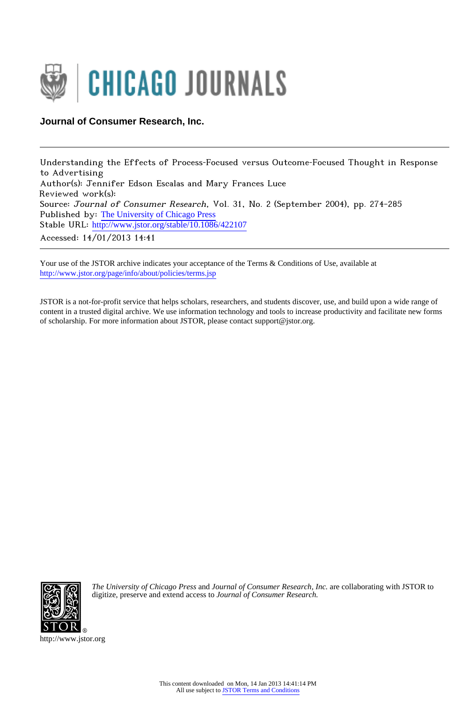

## **Journal of Consumer Research, Inc.**

Understanding the Effects of Process‐Focused versus Outcome‐Focused Thought in Response to Advertising Author(s): Jennifer Edson Escalas and Mary Frances Luce Reviewed work(s): Source: Journal of Consumer Research, Vol. 31, No. 2 (September 2004), pp. 274-285 Published by: [The University of Chicago Press](http://www.jstor.org/action/showPublisher?publisherCode=ucpress) Stable URL: http://www.jstor.org/stable/10.1086/422107 Accessed: 14/01/2013 14:41

Your use of the JSTOR archive indicates your acceptance of the Terms & Conditions of Use, available at <http://www.jstor.org/page/info/about/policies/terms.jsp>

JSTOR is a not-for-profit service that helps scholars, researchers, and students discover, use, and build upon a wide range of content in a trusted digital archive. We use information technology and tools to increase productivity and facilitate new forms of scholarship. For more information about JSTOR, please contact support@jstor.org.



*The University of Chicago Press* and *Journal of Consumer Research, Inc.* are collaborating with JSTOR to digitize, preserve and extend access to *Journal of Consumer Research.*

http://www.jstor.org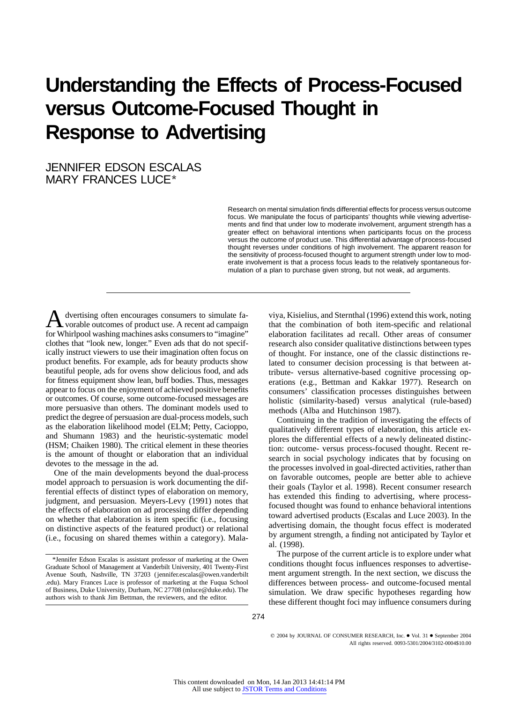# **Understanding the Effects of Process-Focused versus Outcome-Focused Thought in Response to Advertising**

JENNIFER EDSON ESCALAS MARY FRANCES LUCE\*

> Research on mental simulation finds differential effects for process versus outcome focus. We manipulate the focus of participants' thoughts while viewing advertisements and find that under low to moderate involvement, argument strength has a greater effect on behavioral intentions when participants focus on the process versus the outcome of product use. This differential advantage of process-focused thought reverses under conditions of high involvement. The apparent reason for the sensitivity of process-focused thought to argument strength under low to moderate involvement is that a process focus leads to the relatively spontaneous formulation of a plan to purchase given strong, but not weak, ad arguments.

A dvertising often encourages consumers to simulate fa-<br>vorable outcomes of product use. A recent ad campaign for Whirlpool washing machines asks consumers to "imagine" clothes that "look new, longer." Even ads that do not specifically instruct viewers to use their imagination often focus on product benefits. For example, ads for beauty products show beautiful people, ads for ovens show delicious food, and ads for fitness equipment show lean, buff bodies. Thus, messages appear to focus on the enjoyment of achieved positive benefits or outcomes. Of course, some outcome-focused messages are more persuasive than others. The dominant models used to predict the degree of persuasion are dual-process models, such as the elaboration likelihood model (ELM; Petty, Cacioppo, and Shumann 1983) and the heuristic-systematic model (HSM; Chaiken 1980). The critical element in these theories is the amount of thought or elaboration that an individual devotes to the message in the ad.

One of the main developments beyond the dual-process model approach to persuasion is work documenting the differential effects of distinct types of elaboration on memory, judgment, and persuasion. Meyers-Levy (1991) notes that the effects of elaboration on ad processing differ depending on whether that elaboration is item specific (i.e., focusing on distinctive aspects of the featured product) or relational (i.e., focusing on shared themes within a category). Mala-

viya, Kisielius, and Sternthal (1996) extend this work, noting that the combination of both item-specific and relational elaboration facilitates ad recall. Other areas of consumer research also consider qualitative distinctions between types of thought. For instance, one of the classic distinctions related to consumer decision processing is that between attribute- versus alternative-based cognitive processing operations (e.g., Bettman and Kakkar 1977). Research on consumers' classification processes distinguishes between holistic (similarity-based) versus analytical (rule-based) methods (Alba and Hutchinson 1987).

Continuing in the tradition of investigating the effects of qualitatively different types of elaboration, this article explores the differential effects of a newly delineated distinction: outcome- versus process-focused thought. Recent research in social psychology indicates that by focusing on the processes involved in goal-directed activities, rather than on favorable outcomes, people are better able to achieve their goals (Taylor et al. 1998). Recent consumer research has extended this finding to advertising, where processfocused thought was found to enhance behavioral intentions toward advertised products (Escalas and Luce 2003). In the advertising domain, the thought focus effect is moderated by argument strength, a finding not anticipated by Taylor et al. (1998).

The purpose of the current article is to explore under what conditions thought focus influences responses to advertisement argument strength. In the next section, we discuss the differences between process- and outcome-focused mental simulation. We draw specific hypotheses regarding how these different thought foci may influence consumers during

<sup>\*</sup>Jennifer Edson Escalas is assistant professor of marketing at the Owen Graduate School of Management at Vanderbilt University, 401 Twenty-First Avenue South, Nashville, TN 37203 (jennifer.escalas@owen.vanderbilt .edu). Mary Frances Luce is professor of marketing at the Fuqua School of Business, Duke University, Durham, NC 27708 (mluce@duke.edu). The authors wish to thank Jim Bettman, the reviewers, and the editor.

2004 by JOURNAL OF CONSUMER RESEARCH, Inc. ● Vol. 31 ● September 2004 All rights reserved. 0093-5301/2004/3102-0004\$10.00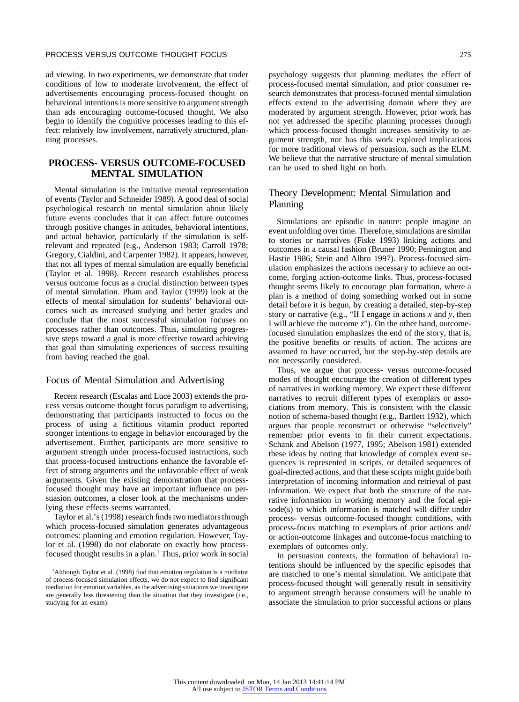#### PROCESS VERSUS OUTCOME THOUGHT FOCUS 275

ad viewing. In two experiments, we demonstrate that under conditions of low to moderate involvement, the effect of advertisements encouraging process-focused thought on behavioral intentions is more sensitive to argument strength than ads encouraging outcome-focused thought. We also begin to identify the cognitive processes leading to this effect: relatively low involvement, narratively structured, planning processes.

## **PROCESS- VERSUS OUTCOME-FOCUSED MENTAL SIMULATION**

Mental simulation is the imitative mental representation of events (Taylor and Schneider 1989). A good deal of social psychological research on mental simulation about likely future events concludes that it can affect future outcomes through positive changes in attitudes, behavioral intentions, and actual behavior, particularly if the simulation is selfrelevant and repeated (e.g., Anderson 1983; Carroll 1978; Gregory, Cialdini, and Carpenter 1982). It appears, however, that not all types of mental simulation are equally beneficial (Taylor et al. 1998). Recent research establishes process versus outcome focus as a crucial distinction between types of mental simulation. Pham and Taylor (1999) look at the effects of mental simulation for students' behavioral outcomes such as increased studying and better grades and conclude that the most successful simulation focuses on processes rather than outcomes. Thus, simulating progressive steps toward a goal is more effective toward achieving that goal than simulating experiences of success resulting from having reached the goal.

#### Focus of Mental Simulation and Advertising

Recent research (Escalas and Luce 2003) extends the process versus outcome thought focus paradigm to advertising, demonstrating that participants instructed to focus on the process of using a fictitious vitamin product reported stronger intentions to engage in behavior encouraged by the advertisement. Further, participants are more sensitive to argument strength under process-focused instructions, such that process-focused instructions enhance the favorable effect of strong arguments and the unfavorable effect of weak arguments. Given the existing demonstration that processfocused thought may have an important influence on persuasion outcomes, a closer look at the mechanisms underlying these effects seems warranted.

Taylor et al.'s (1998) research finds two mediators through which process-focused simulation generates advantageous outcomes: planning and emotion regulation. However, Taylor et al. (1998) do not elaborate on exactly how processfocused thought results in a plan.<sup>1</sup> Thus, prior work in social psychology suggests that planning mediates the effect of process-focused mental simulation, and prior consumer research demonstrates that process-focused mental simulation effects extend to the advertising domain where they are moderated by argument strength. However, prior work has not yet addressed the specific planning processes through which process-focused thought increases sensitivity to argument strength, nor has this work explored implications for more traditional views of persuasion, such as the ELM. We believe that the narrative structure of mental simulation can be used to shed light on both.

## Theory Development: Mental Simulation and Planning

Simulations are episodic in nature: people imagine an event unfolding over time. Therefore, simulations are similar to stories or narratives (Fiske 1993) linking actions and outcomes in a causal fashion (Bruner 1990; Pennington and Hastie 1986; Stein and Albro 1997). Process-focused simulation emphasizes the actions necessary to achieve an outcome, forging action-outcome links. Thus, process-focused thought seems likely to encourage plan formation, where a plan is a method of doing something worked out in some detail before it is begun, by creating a detailed, step-by-step story or narrative (e.g., "If I engage in actions *x* and *y*, then I will achieve the outcome *z*"). On the other hand, outcomefocused simulation emphasizes the end of the story, that is, the positive benefits or results of action. The actions are assumed to have occurred, but the step-by-step details are not necessarily considered.

Thus, we argue that process- versus outcome-focused modes of thought encourage the creation of different types of narratives in working memory. We expect these different narratives to recruit different types of exemplars or associations from memory. This is consistent with the classic notion of schema-based thought (e.g., Bartlett 1932), which argues that people reconstruct or otherwise "selectively" remember prior events to fit their current expectations. Schank and Abelson (1977, 1995; Abelson 1981) extended these ideas by noting that knowledge of complex event sequences is represented in scripts, or detailed sequences of goal-directed actions, and that these scripts might guide both interpretation of incoming information and retrieval of past information. We expect that both the structure of the narrative information in working memory and the focal episode(s) to which information is matched will differ under process- versus outcome-focused thought conditions, with process-focus matching to exemplars of prior actions and/ or action-outcome linkages and outcome-focus matching to exemplars of outcomes only.

In persuasion contexts, the formation of behavioral intentions should be influenced by the specific episodes that are matched to one's mental simulation. We anticipate that process-focused thought will generally result in sensitivity to argument strength because consumers will be unable to associate the simulation to prior successful actions or plans

<sup>&</sup>lt;sup>1</sup>Although Taylor et al. (1998) find that emotion regulation is a mediator of process-focused simulation effects, we do not expect to find significant mediation for emotion variables, as the advertising situations we investigate are generally less threatening than the situation that they investigate (i.e., studying for an exam).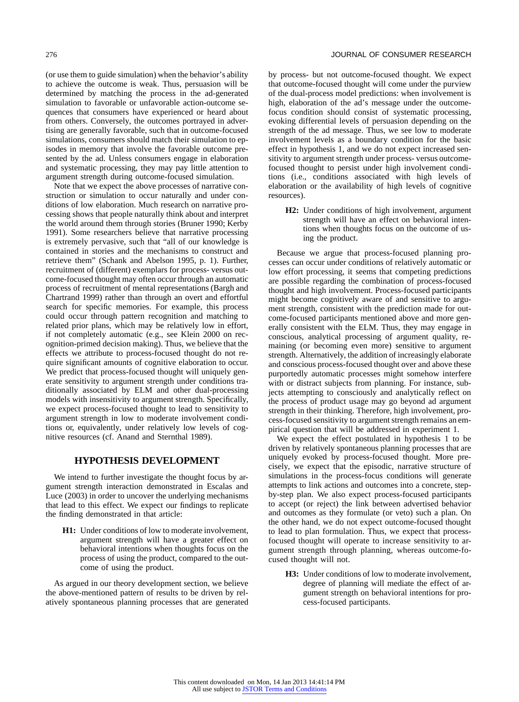(or use them to guide simulation) when the behavior's ability to achieve the outcome is weak. Thus, persuasion will be determined by matching the process in the ad-generated simulation to favorable or unfavorable action-outcome sequences that consumers have experienced or heard about from others. Conversely, the outcomes portrayed in advertising are generally favorable, such that in outcome-focused simulations, consumers should match their simulation to episodes in memory that involve the favorable outcome presented by the ad. Unless consumers engage in elaboration and systematic processing, they may pay little attention to argument strength during outcome-focused simulation.

Note that we expect the above processes of narrative construction or simulation to occur naturally and under conditions of low elaboration. Much research on narrative processing shows that people naturally think about and interpret the world around them through stories (Bruner 1990; Kerby 1991). Some researchers believe that narrative processing is extremely pervasive, such that "all of our knowledge is contained in stories and the mechanisms to construct and retrieve them" (Schank and Abelson 1995, p. 1). Further, recruitment of (different) exemplars for process- versus outcome-focused thought may often occur through an automatic process of recruitment of mental representations (Bargh and Chartrand 1999) rather than through an overt and effortful search for specific memories. For example, this process could occur through pattern recognition and matching to related prior plans, which may be relatively low in effort, if not completely automatic (e.g., see Klein 2000 on recognition-primed decision making). Thus, we believe that the effects we attribute to process-focused thought do not require significant amounts of cognitive elaboration to occur. We predict that process-focused thought will uniquely generate sensitivity to argument strength under conditions traditionally associated by ELM and other dual-processing models with insensitivity to argument strength. Specifically, we expect process-focused thought to lead to sensitivity to argument strength in low to moderate involvement conditions or, equivalently, under relatively low levels of cognitive resources (cf. Anand and Sternthal 1989).

## **HYPOTHESIS DEVELOPMENT**

We intend to further investigate the thought focus by argument strength interaction demonstrated in Escalas and Luce (2003) in order to uncover the underlying mechanisms that lead to this effect. We expect our findings to replicate the finding demonstrated in that article:

**H1:** Under conditions of low to moderate involvement, argument strength will have a greater effect on behavioral intentions when thoughts focus on the process of using the product, compared to the outcome of using the product.

As argued in our theory development section, we believe the above-mentioned pattern of results to be driven by relatively spontaneous planning processes that are generated by process- but not outcome-focused thought. We expect that outcome-focused thought will come under the purview of the dual-process model predictions: when involvement is high, elaboration of the ad's message under the outcomefocus condition should consist of systematic processing, evoking differential levels of persuasion depending on the strength of the ad message. Thus, we see low to moderate involvement levels as a boundary condition for the basic effect in hypothesis 1, and we do not expect increased sensitivity to argument strength under process- versus outcomefocused thought to persist under high involvement conditions (i.e., conditions associated with high levels of elaboration or the availability of high levels of cognitive resources).

**H2:** Under conditions of high involvement, argument strength will have an effect on behavioral intentions when thoughts focus on the outcome of using the product.

Because we argue that process-focused planning processes can occur under conditions of relatively automatic or low effort processing, it seems that competing predictions are possible regarding the combination of process-focused thought and high involvement. Process-focused participants might become cognitively aware of and sensitive to argument strength, consistent with the prediction made for outcome-focused participants mentioned above and more generally consistent with the ELM. Thus, they may engage in conscious, analytical processing of argument quality, remaining (or becoming even more) sensitive to argument strength. Alternatively, the addition of increasingly elaborate and conscious process-focused thought over and above these purportedly automatic processes might somehow interfere with or distract subjects from planning. For instance, subjects attempting to consciously and analytically reflect on the process of product usage may go beyond ad argument strength in their thinking. Therefore, high involvement, process-focused sensitivity to argument strength remains an empirical question that will be addressed in experiment 1.

We expect the effect postulated in hypothesis 1 to be driven by relatively spontaneous planning processes that are uniquely evoked by process-focused thought. More precisely, we expect that the episodic, narrative structure of simulations in the process-focus conditions will generate attempts to link actions and outcomes into a concrete, stepby-step plan. We also expect process-focused participants to accept (or reject) the link between advertised behavior and outcomes as they formulate (or veto) such a plan. On the other hand, we do not expect outcome-focused thought to lead to plan formulation. Thus, we expect that processfocused thought will operate to increase sensitivity to argument strength through planning, whereas outcome-focused thought will not.

**H3:** Under conditions of low to moderate involvement, degree of planning will mediate the effect of argument strength on behavioral intentions for process-focused participants.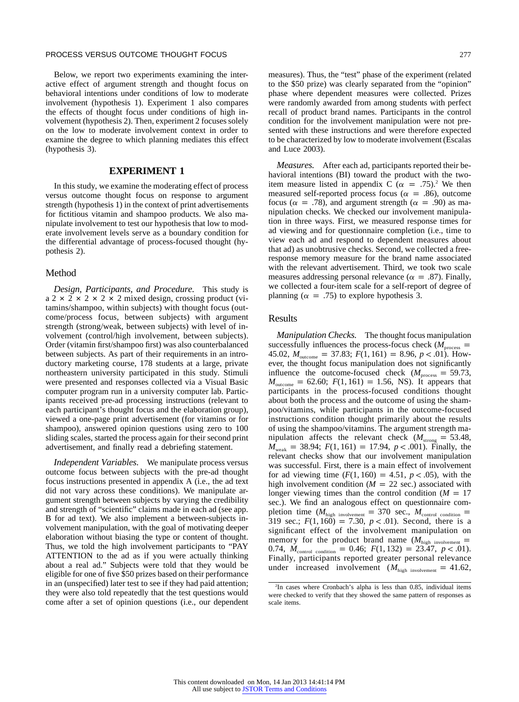#### PROCESS VERSUS OUTCOME THOUGHT FOCUS 277

Below, we report two experiments examining the interactive effect of argument strength and thought focus on behavioral intentions under conditions of low to moderate involvement (hypothesis 1). Experiment 1 also compares the effects of thought focus under conditions of high involvement (hypothesis 2). Then, experiment 2 focuses solely on the low to moderate involvement context in order to examine the degree to which planning mediates this effect (hypothesis 3).

#### **EXPERIMENT 1**

In this study, we examine the moderating effect of process versus outcome thought focus on response to argument strength (hypothesis 1) in the context of print advertisements for fictitious vitamin and shampoo products. We also manipulate involvement to test our hypothesis that low to moderate involvement levels serve as a boundary condition for the differential advantage of process-focused thought (hypothesis 2).

#### Method

*Design, Participants, and Procedure.* This study is a 2  $\times$  2  $\times$  2  $\times$  2  $\times$  2 mixed design, crossing product (vitamins/shampoo, within subjects) with thought focus (outcome/process focus, between subjects) with argument strength (strong/weak, between subjects) with level of involvement (control/high involvement, between subjects). Order (vitamin first/shampoo first) was also counterbalanced between subjects. As part of their requirements in an introductory marketing course, 178 students at a large, private northeastern university participated in this study. Stimuli were presented and responses collected via a Visual Basic computer program run in a university computer lab. Participants received pre-ad processing instructions (relevant to each participant's thought focus and the elaboration group), viewed a one-page print advertisement (for vitamins or for shampoo), answered opinion questions using zero to 100 sliding scales, started the process again for their second print advertisement, and finally read a debriefing statement.

*Independent Variables.* We manipulate process versus outcome focus between subjects with the pre-ad thought focus instructions presented in appendix A (i.e., the ad text did not vary across these conditions). We manipulate argument strength between subjects by varying the credibility and strength of "scientific" claims made in each ad (see app. B for ad text). We also implement a between-subjects involvement manipulation, with the goal of motivating deeper elaboration without biasing the type or content of thought. Thus, we told the high involvement participants to "PAY ATTENTION to the ad as if you were actually thinking about a real ad." Subjects were told that they would be eligible for one of five \$50 prizes based on their performance in an (unspecified) later test to see if they had paid attention; they were also told repeatedly that the test questions would come after a set of opinion questions (i.e., our dependent measures). Thus, the "test" phase of the experiment (related to the \$50 prize) was clearly separated from the "opinion" phase where dependent measures were collected. Prizes were randomly awarded from among students with perfect recall of product brand names. Participants in the control condition for the involvement manipulation were not presented with these instructions and were therefore expected to be characterized by low to moderate involvement (Escalas and Luce 2003).

*Measures.* After each ad, participants reported their behavioral intentions (BI) toward the product with the twoitem measure listed in appendix C ( $\alpha = .75$ ).<sup>2</sup> We then measured self-reported process focus ( $\alpha = .86$ ), outcome focus ( $\alpha = .78$ ), and argument strength ( $\alpha = .90$ ) as manipulation checks. We checked our involvement manipulation in three ways. First, we measured response times for ad viewing and for questionnaire completion (i.e., time to view each ad and respond to dependent measures about that ad) as unobtrusive checks. Second, we collected a freeresponse memory measure for the brand name associated with the relevant advertisement. Third, we took two scale measures addressing personal relevance ( $\alpha = .87$ ). Finally, we collected a four-item scale for a self-report of degree of planning ( $\alpha = .75$ ) to explore hypothesis 3.

#### Results

*Manipulation Checks.* The thought focus manipulation successfully influences the process-focus check  $(M<sub>process</sub>$  = 45.02,  $M_{\text{outcome}} = 37.83$ ;  $F(1, 161) = 8.96$ ,  $p < .01$ ). However, the thought focus manipulation does not significantly influence the outcome-focused check ( $M_{\text{process}} = 59.73$ ,  $M_{\text{outcome}} = 62.60; F(1, 161) = 1.56, NS$ . It appears that participants in the process-focused conditions thought about both the process and the outcome of using the shampoo/vitamins, while participants in the outcome-focused instructions condition thought primarily about the results of using the shampoo/vitamins. The argument strength manipulation affects the relevant check ( $M_{\text{strong}} = 53.48$ ,  $M_{\text{weak}} = 38.94$ ;  $F(1, 161) = 17.94$ ,  $p < .001$ ). Finally, the relevant checks show that our involvement manipulation was successful. First, there is a main effect of involvement for ad viewing time  $(F(1, 160) = 4.51, p < .05)$ , with the high involvement condition ( $M = 22$  sec.) associated with longer viewing times than the control condition  $(M = 17)$ sec.). We find an analogous effect on questionnaire completion time ( $M_{\text{high involvement}} = 370$  *sec.*,  $M_{\text{control condition}} =$ 319 sec.;  $F(1, 160) = 7.30, p < .01$ ). Second, there is a significant effect of the involvement manipulation on memory for the product brand name  $(M_{\text{high involvement}} =$ 0.74,  $M_{\text{control condition}} = 0.46; F(1, 132) = 23.47, p < .01$ . Finally, participants reported greater personal relevance under increased involvement  $(M_{\text{high involvement}} = 41.62)$ ,

<sup>2</sup> In cases where Cronbach's alpha is less than 0.85, individual items were checked to verify that they showed the same pattern of responses as scale items.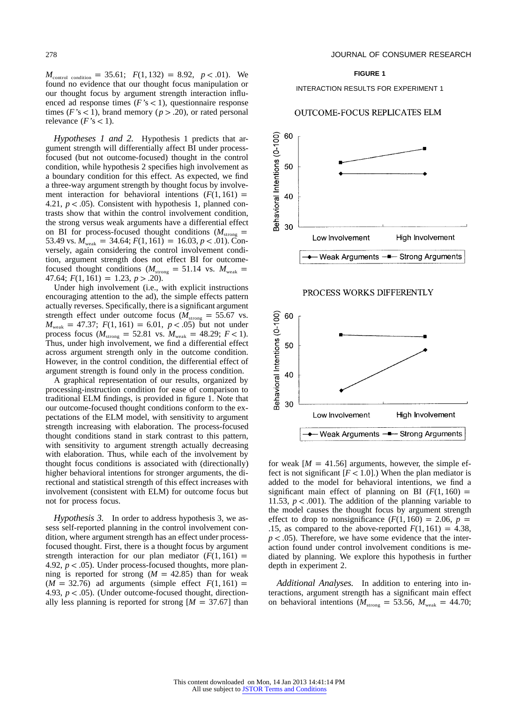$M_{\text{control condition}} = 35.61; \quad F(1, 132) = 8.92, \quad p < .01$ . We found no evidence that our thought focus manipulation or our thought focus by argument strength interaction influenced ad response times  $(F's < 1)$ , questionnaire response times ( $F$ 's < 1), brand memory ( $p > .20$ ), or rated personal relevance  $(F's < 1)$ .

*Hypotheses 1 and 2.* Hypothesis 1 predicts that argument strength will differentially affect BI under processfocused (but not outcome-focused) thought in the control condition, while hypothesis 2 specifies high involvement as a boundary condition for this effect. As expected, we find a three-way argument strength by thought focus by involvement interaction for behavioral intentions  $(F(1, 161)) =$ 4.21,  $p < .05$ ). Consistent with hypothesis 1, planned contrasts show that within the control involvement condition, the strong versus weak arguments have a differential effect on BI for process-focused thought conditions  $(M_{\text{strong}} =$ 53.49 vs.  $M_{\text{weak}} = 34.64$ ;  $F(1, 161) = 16.03$ ,  $p < .01$ ). Conversely, again considering the control involvement condition, argument strength does not effect BI for outcomefocused thought conditions ( $M_{\text{strong}} = 51.14$  vs.  $M_{\text{weak}} =$ 47.64;  $F(1, 161) = 1.23, p > .20$ .

Under high involvement (i.e., with explicit instructions encouraging attention to the ad), the simple effects pattern actually reverses. Specifically, there is a significant argument strength effect under outcome focus ( $M_{\text{strong}} = 55.67$  vs.  $M_{\text{weak}} = 47.37$ ;  $F(1, 161) = 6.01$ ,  $p < .05$ ) but not under process focus ( $M_{\text{strong}} = 52.81$  *vs.*  $M_{\text{weak}} = 48.29$ ;  $F < 1$ ). Thus, under high involvement, we find a differential effect across argument strength only in the outcome condition. However, in the control condition, the differential effect of argument strength is found only in the process condition.

A graphical representation of our results, organized by processing-instruction condition for ease of comparison to traditional ELM findings, is provided in figure 1. Note that our outcome-focused thought conditions conform to the expectations of the ELM model, with sensitivity to argument strength increasing with elaboration. The process-focused thought conditions stand in stark contrast to this pattern, with sensitivity to argument strength actually decreasing with elaboration. Thus, while each of the involvement by thought focus conditions is associated with (directionally) higher behavioral intentions for stronger arguments, the directional and statistical strength of this effect increases with involvement (consistent with ELM) for outcome focus but not for process focus.

*Hypothesis 3.* In order to address hypothesis 3, we assess self-reported planning in the control involvement condition, where argument strength has an effect under processfocused thought. First, there is a thought focus by argument strength interaction for our plan mediator  $(F(1, 161)) =$ 4.92,  $p < .05$ ). Under process-focused thoughts, more planning is reported for strong  $(M = 42.85)$  than for weak  $(M = 32.76)$  ad arguments (simple effect  $F(1, 161) =$ 4.93,  $p < .05$ ). (Under outcome-focused thought, directionally less planning is reported for strong  $[M = 37.67]$  than **FIGURE 1**

INTERACTION RESULTS FOR EXPERIMENT 1

#### **OUTCOME-FOCUS REPLICATES ELM**





for weak  $[M = 41.56]$  arguments, however, the simple effect is not significant  $[F < 1.0]$ .) When the plan mediator is added to the model for behavioral intentions, we find a significant main effect of planning on BI  $(F(1, 160) =$ 11.53,  $p < .001$ ). The addition of the planning variable to the model causes the thought focus by argument strength effect to drop to nonsignificance  $(F(1, 160) = 2.06, p =$ .15, as compared to the above-reported  $F(1, 161) = 4.38$ ,  $p < .05$ ). Therefore, we have some evidence that the interaction found under control involvement conditions is mediated by planning. We explore this hypothesis in further depth in experiment 2.

*Additional Analyses.* In addition to entering into interactions, argument strength has a significant main effect on behavioral intentions ( $M_{\text{strong}} = 53.56$ ,  $M_{\text{weak}} = 44.70$ ;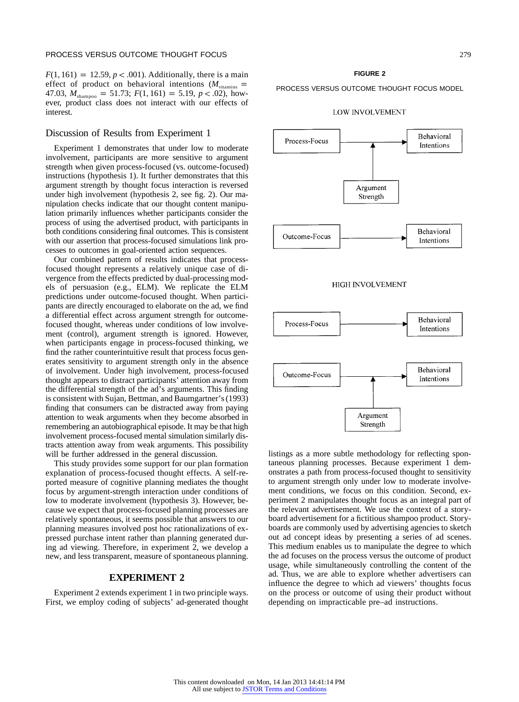$F(1, 161) = 12.59, p < .001$ . Additionally, there is a main effect of product on behavioral intentions  $(M_{\text{vitaming}} =$ 47.03,  $M_{\text{shampoo}} = 51.73$ ;  $F(1, 161) = 5.19$ ,  $p < .02$ ), however, product class does not interact with our effects of interest.

### Discussion of Results from Experiment 1

Experiment 1 demonstrates that under low to moderate involvement, participants are more sensitive to argument strength when given process-focused (vs. outcome-focused) instructions (hypothesis 1). It further demonstrates that this argument strength by thought focus interaction is reversed under high involvement (hypothesis 2, see fig. 2). Our manipulation checks indicate that our thought content manipulation primarily influences whether participants consider the process of using the advertised product, with participants in both conditions considering final outcomes. This is consistent with our assertion that process-focused simulations link processes to outcomes in goal-oriented action sequences.

Our combined pattern of results indicates that processfocused thought represents a relatively unique case of divergence from the effects predicted by dual-processing models of persuasion (e.g., ELM). We replicate the ELM predictions under outcome-focused thought. When participants are directly encouraged to elaborate on the ad, we find a differential effect across argument strength for outcomefocused thought, whereas under conditions of low involvement (control), argument strength is ignored. However, when participants engage in process-focused thinking, we find the rather counterintuitive result that process focus generates sensitivity to argument strength only in the absence of involvement. Under high involvement, process-focused thought appears to distract participants' attention away from the differential strength of the ad's arguments. This finding is consistent with Sujan, Bettman, and Baumgartner's (1993) finding that consumers can be distracted away from paying attention to weak arguments when they become absorbed in remembering an autobiographical episode. It may be that high involvement process-focused mental simulation similarly distracts attention away from weak arguments. This possibility will be further addressed in the general discussion.

This study provides some support for our plan formation explanation of process-focused thought effects. A self-reported measure of cognitive planning mediates the thought focus by argument-strength interaction under conditions of low to moderate involvement (hypothesis 3). However, because we expect that process-focused planning processes are relatively spontaneous, it seems possible that answers to our planning measures involved post hoc rationalizations of expressed purchase intent rather than planning generated during ad viewing. Therefore, in experiment 2, we develop a new, and less transparent, measure of spontaneous planning.

#### **EXPERIMENT 2**

Experiment 2 extends experiment 1 in two principle ways. First, we employ coding of subjects' ad-generated thought

#### **FIGURE 2**

PROCESS VERSUS OUTCOME THOUGHT FOCUS MODEL



listings as a more subtle methodology for reflecting spontaneous planning processes. Because experiment 1 demonstrates a path from process-focused thought to sensitivity to argument strength only under low to moderate involvement conditions, we focus on this condition. Second, experiment 2 manipulates thought focus as an integral part of the relevant advertisement. We use the context of a storyboard advertisement for a fictitious shampoo product. Storyboards are commonly used by advertising agencies to sketch out ad concept ideas by presenting a series of ad scenes. This medium enables us to manipulate the degree to which the ad focuses on the process versus the outcome of product usage, while simultaneously controlling the content of the ad. Thus, we are able to explore whether advertisers can influence the degree to which ad viewers' thoughts focus on the process or outcome of using their product without depending on impracticable pre–ad instructions.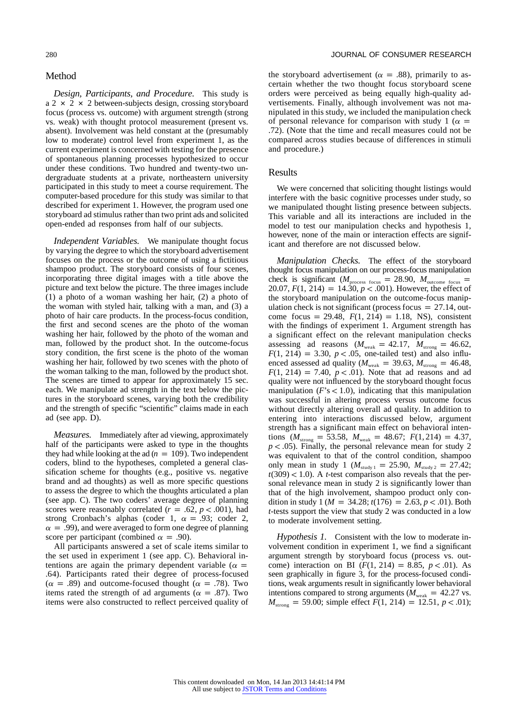#### Method

*Design, Participants, and Procedure.* This study is  $a 2 \times 2 \times 2$  between-subjects design, crossing storyboard focus (process vs. outcome) with argument strength (strong vs. weak) with thought protocol measurement (present vs. absent). Involvement was held constant at the (presumably low to moderate) control level from experiment 1, as the current experiment is concerned with testing for the presence of spontaneous planning processes hypothesized to occur under these conditions. Two hundred and twenty-two undergraduate students at a private, northeastern university participated in this study to meet a course requirement. The computer-based procedure for this study was similar to that described for experiment 1. However, the program used one storyboard ad stimulus rather than two print ads and solicited open-ended ad responses from half of our subjects.

*Independent Variables.* We manipulate thought focus by varying the degree to which the storyboard advertisement focuses on the process or the outcome of using a fictitious shampoo product. The storyboard consists of four scenes, incorporating three digital images with a title above the picture and text below the picture. The three images include (1) a photo of a woman washing her hair, (2) a photo of the woman with styled hair, talking with a man, and (3) a photo of hair care products. In the process-focus condition, the first and second scenes are the photo of the woman washing her hair, followed by the photo of the woman and man, followed by the product shot. In the outcome-focus story condition, the first scene is the photo of the woman washing her hair, followed by two scenes with the photo of the woman talking to the man, followed by the product shot. The scenes are timed to appear for approximately 15 sec. each. We manipulate ad strength in the text below the pictures in the storyboard scenes, varying both the credibility and the strength of specific "scientific" claims made in each ad (see app. D).

*Measures.* Immediately after ad viewing, approximately half of the participants were asked to type in the thoughts they had while looking at the ad  $(n = 109)$ . Two independent coders, blind to the hypotheses, completed a general classification scheme for thoughts (e.g., positive vs. negative brand and ad thoughts) as well as more specific questions to assess the degree to which the thoughts articulated a plan (see app. C). The two coders' average degree of planning scores were reasonably correlated ( $r = .62$ ,  $p < .001$ ), had strong Cronbach's alphas (coder 1,  $\alpha = .93$ ; coder 2,  $\alpha = .99$ ), and were averaged to form one degree of planning score per participant (combined  $\alpha = .90$ ).

All participants answered a set of scale items similar to the set used in experiment 1 (see app. C). Behavioral intentions are again the primary dependent variable ( $\alpha$  = .64). Participants rated their degree of process-focused  $(\alpha = .89)$  and outcome-focused thought ( $\alpha = .78$ ). Two items rated the strength of ad arguments ( $\alpha = .87$ ). Two items were also constructed to reflect perceived quality of the storyboard advertisement ( $\alpha = .88$ ), primarily to ascertain whether the two thought focus storyboard scene orders were perceived as being equally high-quality advertisements. Finally, although involvement was not manipulated in this study, we included the manipulation check of personal relevance for comparison with study 1 ( $\alpha =$ .72). (Note that the time and recall measures could not be compared across studies because of differences in stimuli and procedure.)

#### Results

We were concerned that soliciting thought listings would interfere with the basic cognitive processes under study, so we manipulated thought listing presence between subjects. This variable and all its interactions are included in the model to test our manipulation checks and hypothesis 1, however, none of the main or interaction effects are significant and therefore are not discussed below.

*Manipulation Checks.* The effect of the storyboard thought focus manipulation on our process-focus manipulation check is significant ( $M_{\text{process focus}} = 28.90$ ,  $M_{\text{outcome focus}} =$ 20.07,  $F(1, 214) = 14.30, p < .001$ . However, the effect of the storyboard manipulation on the outcome-focus manipulation check is not significant (process focus  $= 27.14$ , outcome focus = 29.48,  $F(1, 214) = 1.18$ , NS), consistent with the findings of experiment 1. Argument strength has a significant effect on the relevant manipulation checks assessing ad reasons ( $M_{\text{weak}} = 42.17$ ,  $M_{\text{strong}} = 46.62$ ,  $F(1, 214) = 3.30, p < .05$ , one-tailed test) and also influenced assessed ad quality ( $M_{\text{weak}} = 39.63, M_{\text{strong}} = 46.48,$  $F(1, 214) = 7.40, p < .01$ . Note that ad reasons and ad quality were not influenced by the storyboard thought focus manipulation  $(F<sub>s</sub> < 1.0)$ , indicating that this manipulation was successful in altering process versus outcome focus without directly altering overall ad quality. In addition to entering into interactions discussed below, argument strength has a significant main effect on behavioral intentions ( $M_{\text{strong}} = 53.58$ ,  $M_{\text{weak}} = 48.67$ ;  $F(1, 214) = 4.37$ ,  $p < .05$ ). Finally, the personal relevance mean for study 2 was equivalent to that of the control condition, shampoo only mean in study 1 ( $M_{\text{study 1}} = 25.90$ ,  $M_{\text{study 2}} = 27.42$ ;  $t(309) < 1.0$ ). A *t*-test comparison also reveals that the personal relevance mean in study 2 is significantly lower than that of the high involvement, shampoo product only condition in study 1 ( $M = 34.28$ ;  $t(176) = 2.63$ ,  $p < .01$ ). Both *t*-tests support the view that study 2 was conducted in a low to moderate involvement setting.

*Hypothesis 1.* Consistent with the low to moderate involvement condition in experiment 1, we find a significant argument strength by storyboard focus (process vs. outcome) interaction on BI  $(F(1, 214) = 8.85, p < .01)$ . As seen graphically in figure 3, for the process-focused conditions, weak arguments result in significantly lower behavioral intentions compared to strong arguments ( $M_{\text{weak}} = 42.27$  vs.  $M_{\text{strong}} = 59.00$ ; simple effect  $F(1, 214) = 12.51, p < .01$ );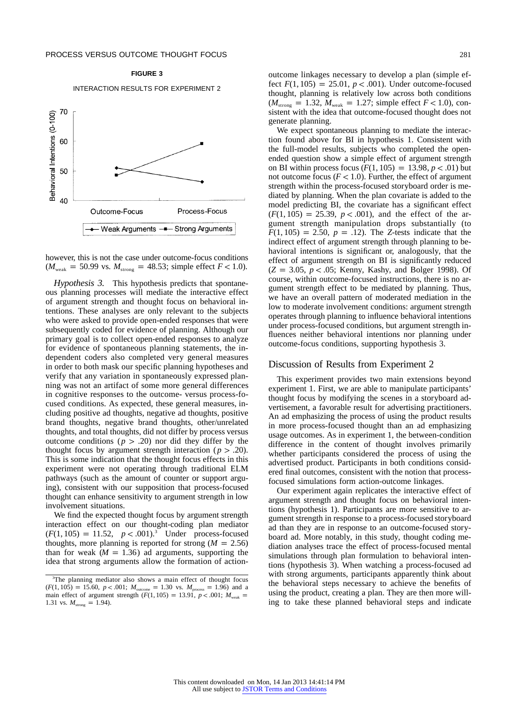#### **FIGURE 3**

#### INTERACTION RESULTS FOR EXPERIMENT 2



however, this is not the case under outcome-focus conditions  $(M_{\text{weak}} = 50.99 \text{ vs. } M_{\text{strong}} = 48.53$ ; simple effect  $F < 1.0$ ).

*Hypothesis 3.* This hypothesis predicts that spontaneous planning processes will mediate the interactive effect of argument strength and thought focus on behavioral intentions. These analyses are only relevant to the subjects who were asked to provide open-ended responses that were subsequently coded for evidence of planning. Although our primary goal is to collect open-ended responses to analyze for evidence of spontaneous planning statements, the independent coders also completed very general measures in order to both mask our specific planning hypotheses and verify that any variation in spontaneously expressed planning was not an artifact of some more general differences in cognitive responses to the outcome- versus process-focused conditions. As expected, these general measures, including positive ad thoughts, negative ad thoughts, positive brand thoughts, negative brand thoughts, other/unrelated thoughts, and total thoughts, did not differ by process versus outcome conditions ( $p > .20$ ) nor did they differ by the thought focus by argument strength interaction ( $p > .20$ ). This is some indication that the thought focus effects in this experiment were not operating through traditional ELM pathways (such as the amount of counter or support arguing), consistent with our supposition that process-focused thought can enhance sensitivity to argument strength in low involvement situations.

We find the expected thought focus by argument strength interaction effect on our thought-coding plan mediator  $(F(1, 105) = 11.52, p < .001).$ <sup>3</sup> Under process-focused thoughts, more planning is reported for strong  $(M = 2.56)$ than for weak ( $M = 1.36$ ) ad arguments, supporting the idea that strong arguments allow the formation of actionoutcome linkages necessary to develop a plan (simple effect  $F(1, 105) = 25.01$ ,  $p < .001$ ). Under outcome-focused thought, planning is relatively low across both conditions  $(M_{\text{strong}} = 1.32, M_{\text{weak}} = 1.27$ ; simple effect  $F < 1.0$ ), consistent with the idea that outcome-focused thought does not generate planning.

We expect spontaneous planning to mediate the interaction found above for BI in hypothesis 1. Consistent with the full-model results, subjects who completed the openended question show a simple effect of argument strength on BI within process focus  $(F(1, 105) = 13.98, p < .01)$  but not outcome focus  $(F < 1.0)$ . Further, the effect of argument strength within the process-focused storyboard order is mediated by planning. When the plan covariate is added to the model predicting BI, the covariate has a significant effect  $(F(1, 105) = 25.39, p < .001)$ , and the effect of the argument strength manipulation drops substantially (to  $F(1, 105) = 2.50, p = .12$ . The *Z*-tests indicate that the indirect effect of argument strength through planning to behavioral intentions is significant or, analogously, that the effect of argument strength on BI is significantly reduced  $(Z = 3.05, p < .05;$  Kenny, Kashy, and Bolger 1998). Of course, within outcome-focused instructions, there is no argument strength effect to be mediated by planning. Thus, we have an overall pattern of moderated mediation in the low to moderate involvement conditions: argument strength operates through planning to influence behavioral intentions under process-focused conditions, but argument strength influences neither behavioral intentions nor planning under outcome-focus conditions, supporting hypothesis 3.

#### Discussion of Results from Experiment 2

This experiment provides two main extensions beyond experiment 1. First, we are able to manipulate participants' thought focus by modifying the scenes in a storyboard advertisement, a favorable result for advertising practitioners. An ad emphasizing the process of using the product results in more process-focused thought than an ad emphasizing usage outcomes. As in experiment 1, the between-condition difference in the content of thought involves primarily whether participants considered the process of using the advertised product. Participants in both conditions considered final outcomes, consistent with the notion that processfocused simulations form action-outcome linkages.

Our experiment again replicates the interactive effect of argument strength and thought focus on behavioral intentions (hypothesis 1). Participants are more sensitive to argument strength in response to a process-focused storyboard ad than they are in response to an outcome-focused storyboard ad. More notably, in this study, thought coding mediation analyses trace the effect of process-focused mental simulations through plan formulation to behavioral intentions (hypothesis 3). When watching a process-focused ad with strong arguments, participants apparently think about the behavioral steps necessary to achieve the benefits of using the product, creating a plan. They are then more willing to take these planned behavioral steps and indicate

<sup>&</sup>lt;sup>3</sup>The planning mediator also shows a main effect of thought focus  $(F(1, 105) = 15.60, p < .001; M_{\text{outcome}} = 1.30 \text{ vs. } M_{\text{process}} = 1.96) \text{ and a}$ main effect of argument strength  $(F(1, 105) = 13.91, p < .001; M_{weak} =$ 1.31 vs.  $M_{\text{strong}} = 1.94$ .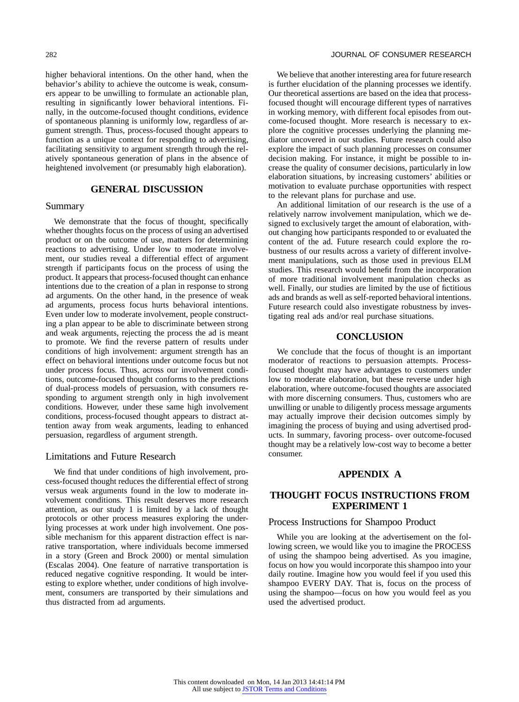higher behavioral intentions. On the other hand, when the behavior's ability to achieve the outcome is weak, consumers appear to be unwilling to formulate an actionable plan, resulting in significantly lower behavioral intentions. Finally, in the outcome-focused thought conditions, evidence of spontaneous planning is uniformly low, regardless of argument strength. Thus, process-focused thought appears to function as a unique context for responding to advertising, facilitating sensitivity to argument strength through the relatively spontaneous generation of plans in the absence of heightened involvement (or presumably high elaboration).

#### **GENERAL DISCUSSION**

#### Summary

We demonstrate that the focus of thought, specifically whether thoughts focus on the process of using an advertised product or on the outcome of use, matters for determining reactions to advertising. Under low to moderate involvement, our studies reveal a differential effect of argument strength if participants focus on the process of using the product. It appears that process-focused thought can enhance intentions due to the creation of a plan in response to strong ad arguments. On the other hand, in the presence of weak ad arguments, process focus hurts behavioral intentions. Even under low to moderate involvement, people constructing a plan appear to be able to discriminate between strong and weak arguments, rejecting the process the ad is meant to promote. We find the reverse pattern of results under conditions of high involvement: argument strength has an effect on behavioral intentions under outcome focus but not under process focus. Thus, across our involvement conditions, outcome-focused thought conforms to the predictions of dual-process models of persuasion, with consumers responding to argument strength only in high involvement conditions. However, under these same high involvement conditions, process-focused thought appears to distract attention away from weak arguments, leading to enhanced persuasion, regardless of argument strength.

## Limitations and Future Research

We find that under conditions of high involvement, process-focused thought reduces the differential effect of strong versus weak arguments found in the low to moderate involvement conditions. This result deserves more research attention, as our study 1 is limited by a lack of thought protocols or other process measures exploring the underlying processes at work under high involvement. One possible mechanism for this apparent distraction effect is narrative transportation, where individuals become immersed in a story (Green and Brock 2000) or mental simulation (Escalas 2004). One feature of narrative transportation is reduced negative cognitive responding. It would be interesting to explore whether, under conditions of high involvement, consumers are transported by their simulations and thus distracted from ad arguments.

We believe that another interesting area for future research is further elucidation of the planning processes we identify. Our theoretical assertions are based on the idea that processfocused thought will encourage different types of narratives in working memory, with different focal episodes from outcome-focused thought. More research is necessary to explore the cognitive processes underlying the planning mediator uncovered in our studies. Future research could also explore the impact of such planning processes on consumer decision making. For instance, it might be possible to increase the quality of consumer decisions, particularly in low elaboration situations, by increasing customers' abilities or motivation to evaluate purchase opportunities with respect to the relevant plans for purchase and use.

An additional limitation of our research is the use of a relatively narrow involvement manipulation, which we designed to exclusively target the amount of elaboration, without changing how participants responded to or evaluated the content of the ad. Future research could explore the robustness of our results across a variety of different involvement manipulations, such as those used in previous ELM studies. This research would benefit from the incorporation of more traditional involvement manipulation checks as well. Finally, our studies are limited by the use of fictitious ads and brands as well as self-reported behavioral intentions. Future research could also investigate robustness by investigating real ads and/or real purchase situations.

#### **CONCLUSION**

We conclude that the focus of thought is an important moderator of reactions to persuasion attempts. Processfocused thought may have advantages to customers under low to moderate elaboration, but these reverse under high elaboration, where outcome-focused thoughts are associated with more discerning consumers. Thus, customers who are unwilling or unable to diligently process message arguments may actually improve their decision outcomes simply by imagining the process of buying and using advertised products. In summary, favoring process- over outcome-focused thought may be a relatively low-cost way to become a better consumer.

## **APPENDIX A**

## **THOUGHT FOCUS INSTRUCTIONS FROM EXPERIMENT 1**

## Process Instructions for Shampoo Product

While you are looking at the advertisement on the following screen, we would like you to imagine the PROCESS of using the shampoo being advertised. As you imagine, focus on how you would incorporate this shampoo into your daily routine. Imagine how you would feel if you used this shampoo EVERY DAY. That is, focus on the process of using the shampoo—focus on how you would feel as you used the advertised product.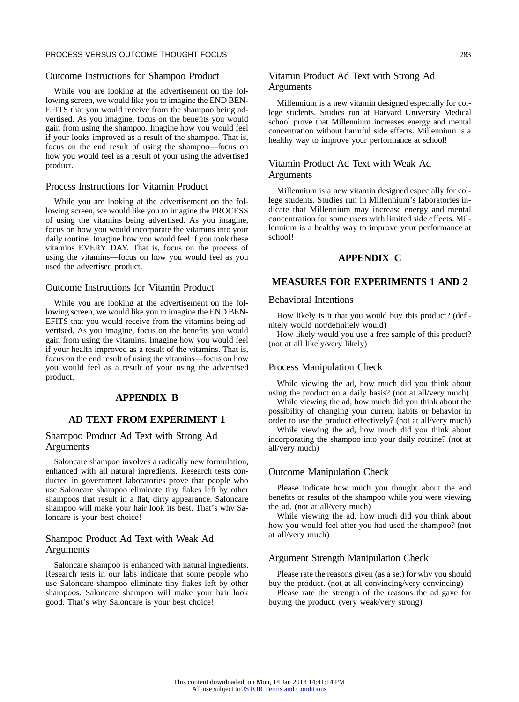#### PROCESS VERSUS OUTCOME THOUGHT FOCUS 283

#### Outcome Instructions for Shampoo Product

While you are looking at the advertisement on the following screen, we would like you to imagine the END BEN-EFITS that you would receive from the shampoo being advertised. As you imagine, focus on the benefits you would gain from using the shampoo. Imagine how you would feel if your looks improved as a result of the shampoo. That is, focus on the end result of using the shampoo—focus on how you would feel as a result of your using the advertised product.

#### Process Instructions for Vitamin Product

While you are looking at the advertisement on the following screen, we would like you to imagine the PROCESS of using the vitamins being advertised. As you imagine, focus on how you would incorporate the vitamins into your daily routine. Imagine how you would feel if you took these vitamins EVERY DAY. That is, focus on the process of using the vitamins—focus on how you would feel as you used the advertised product.

## Outcome Instructions for Vitamin Product

While you are looking at the advertisement on the following screen, we would like you to imagine the END BEN-EFITS that you would receive from the vitamins being advertised. As you imagine, focus on the benefits you would gain from using the vitamins. Imagine how you would feel if your health improved as a result of the vitamins. That is, focus on the end result of using the vitamins—focus on how you would feel as a result of your using the advertised product.

#### **APPENDIX B**

## **AD TEXT FROM EXPERIMENT 1**

## Shampoo Product Ad Text with Strong Ad Arguments

Saloncare shampoo involves a radically new formulation, enhanced with all natural ingredients. Research tests conducted in government laboratories prove that people who use Saloncare shampoo eliminate tiny flakes left by other shampoos that result in a flat, dirty appearance. Saloncare shampoo will make your hair look its best. That's why Saloncare is your best choice!

## Shampoo Product Ad Text with Weak Ad Arguments

Saloncare shampoo is enhanced with natural ingredients. Research tests in our labs indicate that some people who use Saloncare shampoo eliminate tiny flakes left by other shampoos. Saloncare shampoo will make your hair look good. That's why Saloncare is your best choice!

## Vitamin Product Ad Text with Strong Ad Arguments

Millennium is a new vitamin designed especially for college students. Studies run at Harvard University Medical school prove that Millennium increases energy and mental concentration without harmful side effects. Millennium is a healthy way to improve your performance at school!

## Vitamin Product Ad Text with Weak Ad Arguments

Millennium is a new vitamin designed especially for college students. Studies run in Millennium's laboratories indicate that Millennium may increase energy and mental concentration for some users with limited side effects. Millennium is a healthy way to improve your performance at school!

#### **APPENDIX C**

## **MEASURES FOR EXPERIMENTS 1 AND 2**

#### Behavioral Intentions

How likely is it that you would buy this product? (definitely would not/definitely would)

How likely would you use a free sample of this product? (not at all likely/very likely)

#### Process Manipulation Check

While viewing the ad, how much did you think about using the product on a daily basis? (not at all/very much)

While viewing the ad, how much did you think about the possibility of changing your current habits or behavior in order to use the product effectively? (not at all/very much)

While viewing the ad, how much did you think about incorporating the shampoo into your daily routine? (not at all/very much)

#### Outcome Manipulation Check

Please indicate how much you thought about the end benefits or results of the shampoo while you were viewing the ad. (not at all/very much)

While viewing the ad, how much did you think about how you would feel after you had used the shampoo? (not at all/very much)

#### Argument Strength Manipulation Check

Please rate the reasons given (as a set) for why you should buy the product. (not at all convincing/very convincing)

Please rate the strength of the reasons the ad gave for buying the product. (very weak/very strong)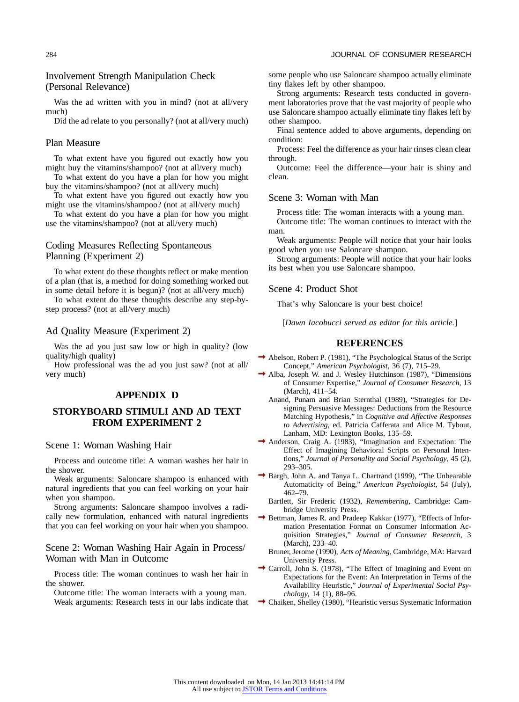## Involvement Strength Manipulation Check (Personal Relevance)

Was the ad written with you in mind? (not at all/very much)

Did the ad relate to you personally? (not at all/very much)

#### Plan Measure

To what extent have you figured out exactly how you might buy the vitamins/shampoo? (not at all/very much)

To what extent do you have a plan for how you might buy the vitamins/shampoo? (not at all/very much)

To what extent have you figured out exactly how you might use the vitamins/shampoo? (not at all/very much)

To what extent do you have a plan for how you might use the vitamins/shampoo? (not at all/very much)

## Coding Measures Reflecting Spontaneous Planning (Experiment 2)

To what extent do these thoughts reflect or make mention of a plan (that is, a method for doing something worked out in some detail before it is begun)? (not at all/very much)

To what extent do these thoughts describe any step-bystep process? (not at all/very much)

#### Ad Quality Measure (Experiment 2)

Was the ad you just saw low or high in quality? (low quality/high quality)

How professional was the ad you just saw? (not at all/ very much)

#### **APPENDIX D**

## **STORYBOARD STIMULI AND AD TEXT FROM EXPERIMENT 2**

## Scene 1: Woman Washing Hair

Process and outcome title: A woman washes her hair in the shower.

Weak arguments: Saloncare shampoo is enhanced with natural ingredients that you can feel working on your hair when you shampoo.

Strong arguments: Saloncare shampoo involves a radically new formulation, enhanced with natural ingredients that you can feel working on your hair when you shampoo.

## Scene 2: Woman Washing Hair Again in Process/ Woman with Man in Outcome

Process title: The woman continues to wash her hair in the shower.

Outcome title: The woman interacts with a young man. Weak arguments: Research tests in our labs indicate that some people who use Saloncare shampoo actually eliminate tiny flakes left by other shampoo.

Strong arguments: Research tests conducted in government laboratories prove that the vast majority of people who use Saloncare shampoo actually eliminate tiny flakes left by other shampoo.

Final sentence added to above arguments, depending on condition:

Process: Feel the difference as your hair rinses clean clear through.

Outcome: Feel the difference—your hair is shiny and clean.

#### Scene 3: Woman with Man

Process title: The woman interacts with a young man.

Outcome title: The woman continues to interact with the man.

Weak arguments: People will notice that your hair looks good when you use Saloncare shampoo.

Strong arguments: People will notice that your hair looks its best when you use Saloncare shampoo.

#### Scene 4: Product Shot

That's why Saloncare is your best choice!

[*Dawn Iacobucci served as editor for this article.*]

#### **REFERENCES**

- Abelson, Robert P. (1981), "The Psychological Status of the Script Concept," *American Psychologist*, 36 (7), 715–29.
	- Alba, Joseph W. and J. Wesley Hutchinson (1987), "Dimensions of Consumer Expertise," *Journal of Consumer Research*, 13 (March), 411–54.
	- Anand, Punam and Brian Sternthal (1989), "Strategies for Designing Persuasive Messages: Deductions from the Resource Matching Hypothesis," in *Cognitive and Affective Responses to Advertising*, ed. Patricia Cafferata and Alice M. Tybout, Lanham, MD: Lexington Books, 135–59.
- Anderson, Craig A. (1983), "Imagination and Expectation: The Effect of Imagining Behavioral Scripts on Personal Intentions," *Journal of Personality and Social Psychology*, 45 (2), 293–305.
- Bargh, John A. and Tanya L. Chartrand (1999), "The Unbearable Automaticity of Being," *American Psychologist*, 54 (July), 462–79.
	- Bartlett, Sir Frederic (1932), *Remembering*, Cambridge: Cambridge University Press.
- → Bettman, James R. and Pradeep Kakkar (1977), "Effects of Information Presentation Format on Consumer Information Acquisition Strategies," *Journal of Consumer Research*, 3 (March), 233–40.
	- Bruner, Jerome (1990), *Acts of Meaning*, Cambridge, MA: Harvard University Press.
- $\rightarrow$  Carroll, John S. (1978), "The Effect of Imagining and Event on Expectations for the Event: An Interpretation in Terms of the Availability Heuristic," *Journal of Experimental Social Psychology*, 14 (1), 88–96.
- Chaiken, Shelley (1980), "Heuristic versus Systematic Information